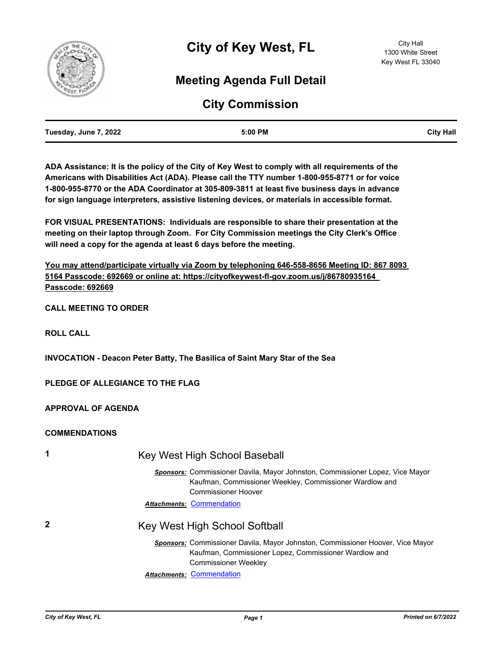

# **Meeting Agenda Full Detail**

# **City Commission**

| Tuesday, June 7, 2022 | 5:00 PM | <b>City Hall</b> |
|-----------------------|---------|------------------|
|                       |         |                  |

**ADA Assistance: It is the policy of the City of Key West to comply with all requirements of the Americans with Disabilities Act (ADA). Please call the TTY number 1-800-955-8771 or for voice 1-800-955-8770 or the ADA Coordinator at 305-809-3811 at least five business days in advance for sign language interpreters, assistive listening devices, or materials in accessible format.**

**FOR VISUAL PRESENTATIONS: Individuals are responsible to share their presentation at the meeting on their laptop through Zoom. For City Commission meetings the City Clerk's Office will need a copy for the agenda at least 6 days before the meeting.**

**You may attend/participate virtually via Zoom by telephoning 646-558-8656 Meeting ID: 867 8093 5164 Passcode: 692669 or online at: https://cityofkeywest-fl-gov.zoom.us/j/86780935164 Passcode: 692669**

**CALL MEETING TO ORDER**

**ROLL CALL**

**INVOCATION - Deacon Peter Batty, The Basilica of Saint Mary Star of the Sea**

**PLEDGE OF ALLEGIANCE TO THE FLAG**

**APPROVAL OF AGENDA**

#### **COMMENDATIONS**

| 1 | Key West High School Baseball                                                                                                                                                 |  |  |
|---|-------------------------------------------------------------------------------------------------------------------------------------------------------------------------------|--|--|
|   | <b>Sponsors:</b> Commissioner Davila, Mayor Johnston, Commissioner Lopez, Vice Mayor<br>Kaufman, Commissioner Weekley, Commissioner Wardlow and<br><b>Commissioner Hoover</b> |  |  |
|   | <b>Attachments: Commendation</b>                                                                                                                                              |  |  |
| 2 | Key West High School Softball                                                                                                                                                 |  |  |
|   | Sponsors: Commissioner Davila, Mayor Johnston, Commissioner Hoover, Vice Mayor<br>Kaufman, Commissioner Lopez, Commissioner Wardlow and<br><b>Commissioner Weekley</b>        |  |  |
|   | <b>Attachments: Commendation</b>                                                                                                                                              |  |  |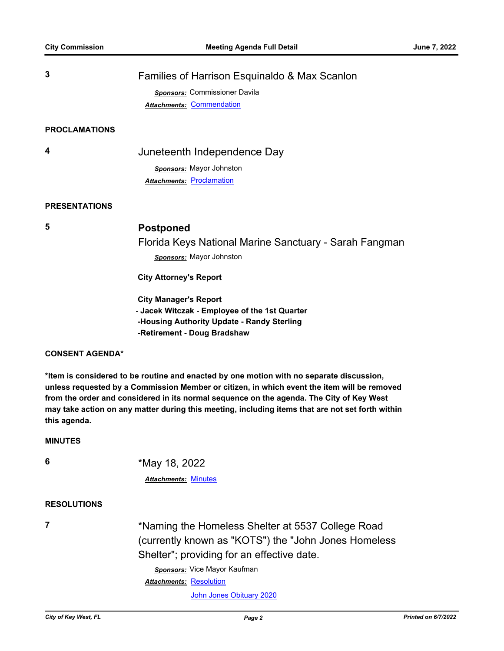| 3                    | Families of Harrison Esquinaldo & Max Scanlon |  |
|----------------------|-----------------------------------------------|--|
|                      | Sponsors: Commissioner Davila                 |  |
|                      | <b>Attachments: Commendation</b>              |  |
|                      |                                               |  |
| <b>PROCLAMATIONS</b> |                                               |  |
| 4                    | Juneteenth Independence Day                   |  |

*Sponsors:* Mayor Johnston **Attachments: [Proclamation](http://KeyWest.legistar.com/gateway.aspx?M=F&ID=ee7d9b9c-bf72-463d-bced-d45ec2a458e3.pdf)** 

#### **PRESENTATIONS**

## **5 Postponed**

Florida Keys National Marine Sanctuary - Sarah Fangman *Sponsors:* Mayor Johnston

 **City Attorney's Report**

 **City Manager's Report - Jacek Witczak - Employee of the 1st Quarter -Housing Authority Update - Randy Sterling -Retirement - Doug Bradshaw**

#### **CONSENT AGENDA\***

**\*Item is considered to be routine and enacted by one motion with no separate discussion, unless requested by a Commission Member or citizen, in which event the item will be removed from the order and considered in its normal sequence on the agenda. The City of Key West may take action on any matter during this meeting, including items that are not set forth within this agenda.**

#### **MINUTES**

**6** \*May 18, 2022

#### *Attachments:* [Minutes](http://KeyWest.legistar.com/gateway.aspx?M=F&ID=2f94d5e8-4f0b-477f-b2d1-33fb178800b7.pdf)

#### **RESOLUTIONS**

**7** \*Naming the Homeless Shelter at 5537 College Road (currently known as "KOTS") the "John Jones Homeless Shelter"; providing for an effective date.

*Sponsors:* Vice Mayor Kaufman

Attachments: [Resolution](http://KeyWest.legistar.com/gateway.aspx?M=F&ID=6374720c-4d6b-4b35-95bb-27489a884578.pdf)

[John Jones Obituary 2020](http://KeyWest.legistar.com/gateway.aspx?M=F&ID=58f2fe85-6f95-4768-8730-2f5e2fad8e1f.pdf)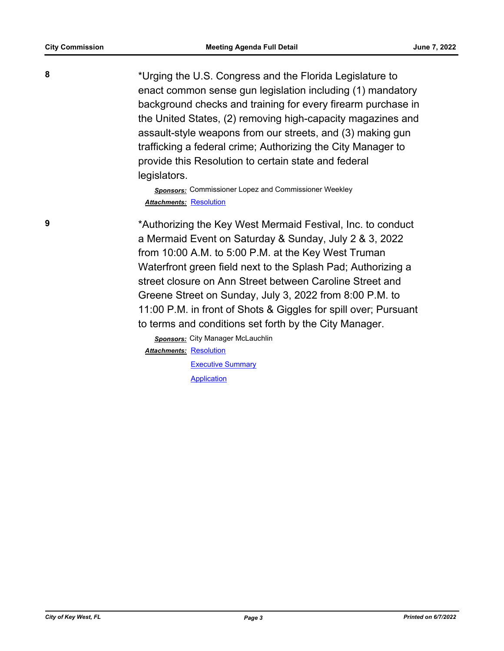**8** \*Urging the U.S. Congress and the Florida Legislature to enact common sense gun legislation including (1) mandatory background checks and training for every firearm purchase in the United States, (2) removing high-capacity magazines and assault-style weapons from our streets, and (3) making gun trafficking a federal crime; Authorizing the City Manager to provide this Resolution to certain state and federal

legislators.

*Sponsors:* Commissioner Lopez and Commissioner Weekley *Attachments:* [Resolution](http://KeyWest.legistar.com/gateway.aspx?M=F&ID=5433c8e4-fa35-4f4a-86bd-47176fe7766d.pdf)

**9** \*Authorizing the Key West Mermaid Festival, Inc. to conduct a Mermaid Event on Saturday & Sunday, July 2 & 3, 2022 from 10:00 A.M. to 5:00 P.M. at the Key West Truman Waterfront green field next to the Splash Pad; Authorizing a street closure on Ann Street between Caroline Street and Greene Street on Sunday, July 3, 2022 from 8:00 P.M. to 11:00 P.M. in front of Shots & Giggles for spill over; Pursuant to terms and conditions set forth by the City Manager.

> *Sponsors:* City Manager McLauchlin Attachments: [Resolution](http://KeyWest.legistar.com/gateway.aspx?M=F&ID=bad53263-fc35-450e-b2ab-c797e43fde79.pdf) [Executive Summary](http://KeyWest.legistar.com/gateway.aspx?M=F&ID=8130e3c2-a67f-4fcf-8fef-1d4ade76e95b.pdf) [Application](http://KeyWest.legistar.com/gateway.aspx?M=F&ID=ac71b834-4f90-4ff5-9031-c19a2b4e5a24.pdf)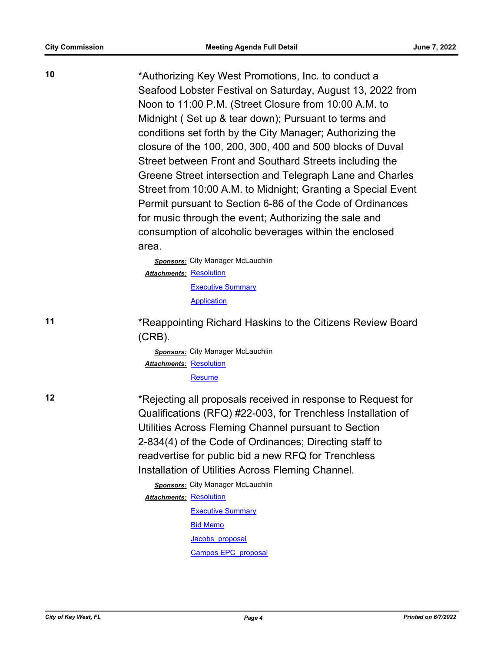**10** \*Authorizing Key West Promotions, Inc. to conduct a Seafood Lobster Festival on Saturday, August 13, 2022 from Noon to 11:00 P.M. (Street Closure from 10:00 A.M. to Midnight ( Set up & tear down); Pursuant to terms and conditions set forth by the City Manager; Authorizing the closure of the 100, 200, 300, 400 and 500 blocks of Duval Street between Front and Southard Streets including the Greene Street intersection and Telegraph Lane and Charles Street from 10:00 A.M. to Midnight; Granting a Special Event Permit pursuant to Section 6-86 of the Code of Ordinances for music through the event; Authorizing the sale and consumption of alcoholic beverages within the enclosed area.

> *Sponsors:* City Manager McLauchlin Attachments: [Resolution](http://KeyWest.legistar.com/gateway.aspx?M=F&ID=c7af7c04-dfad-4c17-89fb-d19f2a212dd1.pdf) **[Executive Summary](http://KeyWest.legistar.com/gateway.aspx?M=F&ID=fc1c1c3e-d053-4b26-8645-da3cdd0307c7.pdf)** [Application](http://KeyWest.legistar.com/gateway.aspx?M=F&ID=7c1b4a12-f520-4bee-b09c-a7f589b45e83.pdf)

**11** \*Reappointing Richard Haskins to the Citizens Review Board (CRB).

> *Sponsors:* City Manager McLauchlin Attachments: [Resolution](http://KeyWest.legistar.com/gateway.aspx?M=F&ID=7441a8e6-d2d8-4b89-bd28-0b5709d9ca4a.pdf) [Resume](http://KeyWest.legistar.com/gateway.aspx?M=F&ID=f6f88cdb-b62f-458b-bc6a-07702838390c.pdf)

**12** \*Rejecting all proposals received in response to Request for Qualifications (RFQ) #22-003, for Trenchless Installation of Utilities Across Fleming Channel pursuant to Section 2-834(4) of the Code of Ordinances; Directing staff to readvertise for public bid a new RFQ for Trenchless Installation of Utilities Across Fleming Channel.

> *Sponsors:* City Manager McLauchlin Attachments: [Resolution](http://KeyWest.legistar.com/gateway.aspx?M=F&ID=a19a14ed-dece-4646-92c7-9e3ed5f40e76.pdf) **[Executive Summary](http://KeyWest.legistar.com/gateway.aspx?M=F&ID=763f5395-865f-41bc-ac7d-c0b9d695653e.pdf)** [Bid Memo](http://KeyWest.legistar.com/gateway.aspx?M=F&ID=413831f8-311a-4b64-8eee-4a5d96b8959c.PDF) Jacobs proposal

[Campos EPC\\_proposal](http://KeyWest.legistar.com/gateway.aspx?M=F&ID=b735eac1-0269-4da3-86cb-b14d3eb97dcf.pdf)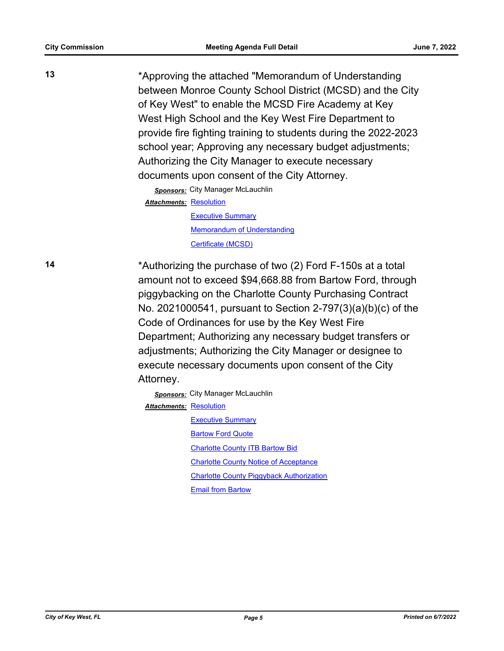**13** \*Approving the attached "Memorandum of Understanding between Monroe County School District (MCSD) and the City of Key West" to enable the MCSD Fire Academy at Key West High School and the Key West Fire Department to provide fire fighting training to students during the 2022-2023 school year; Approving any necessary budget adjustments; Authorizing the City Manager to execute necessary documents upon consent of the City Attorney.

*Sponsors:* City Manager McLauchlin

Attachments: [Resolution](http://KeyWest.legistar.com/gateway.aspx?M=F&ID=e9b90329-6581-4923-ba0f-d8194d22ab19.pdf)

[Executive Summary](http://KeyWest.legistar.com/gateway.aspx?M=F&ID=36f326d1-6b06-4f40-ad68-d3b7999f9e3c.pdf) [Memorandum of Understanding](http://KeyWest.legistar.com/gateway.aspx?M=F&ID=25d272e8-c9fd-40c0-afb9-28d8fc9ba760.pdf) [Certificate \(MCSD\)](http://KeyWest.legistar.com/gateway.aspx?M=F&ID=a74c4ce6-5712-4832-b50a-ec73f78f41b8.pdf)

**14** \*Authorizing the purchase of two (2) Ford F-150s at a total amount not to exceed \$94,668.88 from Bartow Ford, through piggybacking on the Charlotte County Purchasing Contract No. 2021000541, pursuant to Section 2-797(3)(a)(b)(c) of the Code of Ordinances for use by the Key West Fire Department; Authorizing any necessary budget transfers or adjustments; Authorizing the City Manager or designee to execute necessary documents upon consent of the City Attorney.

> *Sponsors:* City Manager McLauchlin **Attachments: [Resolution](http://KeyWest.legistar.com/gateway.aspx?M=F&ID=7b290c38-4a54-4ab6-bafb-61431a76c6de.pdf)**

> > **[Executive Summary](http://KeyWest.legistar.com/gateway.aspx?M=F&ID=de4a3811-356b-4367-9c87-59b58ad2b898.pdf) [Bartow Ford Quote](http://KeyWest.legistar.com/gateway.aspx?M=F&ID=aca73cea-fcbf-4364-bfa0-85ee39f5db9a.pdf) [Charlotte County ITB Bartow Bid](http://KeyWest.legistar.com/gateway.aspx?M=F&ID=8d377c71-fd1c-4c0f-ad44-8a0b090918c1.pdf)** [Charlotte County Notice of Acceptance](http://KeyWest.legistar.com/gateway.aspx?M=F&ID=5c418cca-c5e2-4d5d-80f8-7e64bd904c64.pdf) [Charlotte County Piggyback Authorization](http://KeyWest.legistar.com/gateway.aspx?M=F&ID=1a7e6fba-19a0-40f2-b115-e917f61d287e.pdf) [Email from Bartow](http://KeyWest.legistar.com/gateway.aspx?M=F&ID=bedca938-f273-44d3-ab2c-96411c18df67.pdf)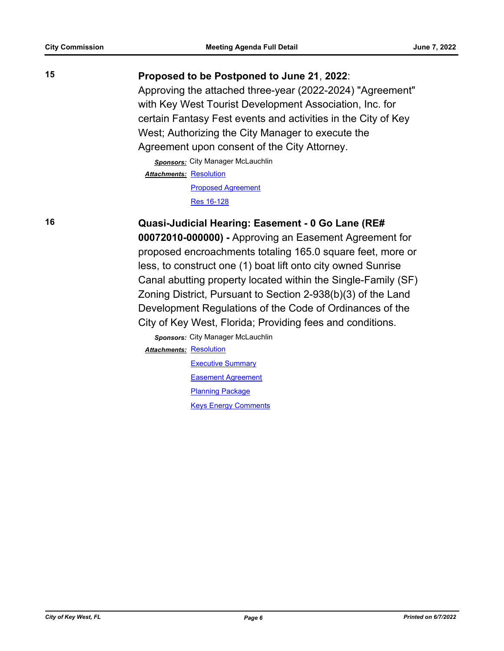## **15 Proposed to be Postponed to June 21**, **2022**:

Approving the attached three-year (2022-2024) "Agreement" with Key West Tourist Development Association, Inc. for certain Fantasy Fest events and activities in the City of Key West; Authorizing the City Manager to execute the Agreement upon consent of the City Attorney.

*Sponsors:* City Manager McLauchlin Attachments: [Resolution](http://KeyWest.legistar.com/gateway.aspx?M=F&ID=8744d75c-61ba-48ad-9989-b674d63206bb.docx) [Proposed Agreement](http://KeyWest.legistar.com/gateway.aspx?M=F&ID=2ce4023f-86be-4087-bb34-08c38c2e76c7.pdf)

[Res 16-128](http://KeyWest.legistar.com/gateway.aspx?M=F&ID=596f5e58-ff17-4a77-a524-27c057c8b59d.pdf)

**16 Quasi-Judicial Hearing: Easement - 0 Go Lane (RE# 00072010-000000) -** Approving an Easement Agreement for proposed encroachments totaling 165.0 square feet, more or less, to construct one (1) boat lift onto city owned Sunrise Canal abutting property located within the Single-Family (SF) Zoning District, Pursuant to Section 2-938(b)(3) of the Land Development Regulations of the Code of Ordinances of the City of Key West, Florida; Providing fees and conditions.

> *Sponsors:* City Manager McLauchlin Attachments: [Resolution](http://KeyWest.legistar.com/gateway.aspx?M=F&ID=945d4372-b3a4-4a0d-bcfa-56a152bcf1f1.pdf) **[Executive Summary](http://KeyWest.legistar.com/gateway.aspx?M=F&ID=c40d2e30-ada6-401f-bf8e-08b01ea4bcb6.pdf)** [Easement Agreement](http://KeyWest.legistar.com/gateway.aspx?M=F&ID=c6b7ff6e-e862-4324-aef9-7ee53aa31e7c.pdf) [Planning Package](http://KeyWest.legistar.com/gateway.aspx?M=F&ID=aaf316aa-d33a-4ecd-8cf4-2602798e26d5.pdf)

> > [Keys Energy Comments](http://KeyWest.legistar.com/gateway.aspx?M=F&ID=4339757a-7819-485c-8602-9857aec79816.pdf)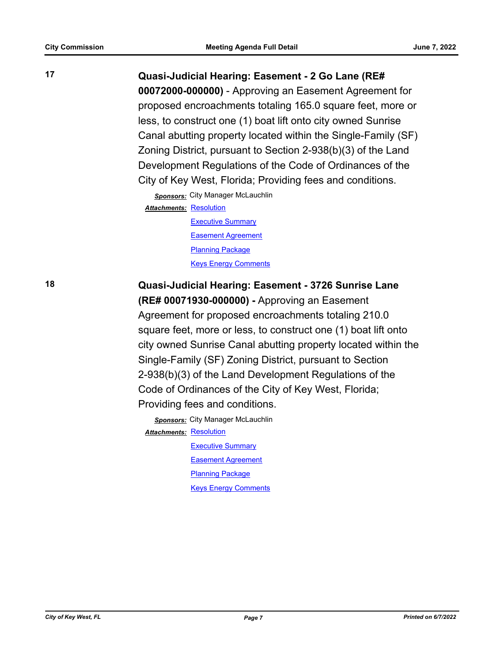**17 Quasi-Judicial Hearing: Easement - 2 Go Lane (RE# 00072000-000000)** - Approving an Easement Agreement for proposed encroachments totaling 165.0 square feet, more or less, to construct one (1) boat lift onto city owned Sunrise Canal abutting property located within the Single-Family (SF) Zoning District, pursuant to Section 2-938(b)(3) of the Land Development Regulations of the Code of Ordinances of the City of Key West, Florida; Providing fees and conditions.

> *Sponsors:* City Manager McLauchlin Attachments: [Resolution](http://KeyWest.legistar.com/gateway.aspx?M=F&ID=d2c7fcda-8753-422c-a531-763cdf186272.pdf) [Executive Summary](http://KeyWest.legistar.com/gateway.aspx?M=F&ID=00297cb4-34f0-4c9a-9597-f341d09bf313.pdf) [Easement Agreement](http://KeyWest.legistar.com/gateway.aspx?M=F&ID=79e73a0e-5e9e-479e-948d-4679a7d5a348.pdf)

> > [Planning Package](http://KeyWest.legistar.com/gateway.aspx?M=F&ID=a4c5240b-9e32-4f15-9692-a42fe25ea85b.pdf) [Keys Energy Comments](http://KeyWest.legistar.com/gateway.aspx?M=F&ID=c4539ec2-074a-46a9-8bbf-d960cd5c328f.pdf)

**18 Quasi-Judicial Hearing: Easement - 3726 Sunrise Lane** 

**(RE# 00071930-000000) -** Approving an Easement Agreement for proposed encroachments totaling 210.0 square feet, more or less, to construct one (1) boat lift onto city owned Sunrise Canal abutting property located within the Single-Family (SF) Zoning District, pursuant to Section 2-938(b)(3) of the Land Development Regulations of the Code of Ordinances of the City of Key West, Florida; Providing fees and conditions.

*Sponsors:* City Manager McLauchlin **Attachments: [Resolution](http://KeyWest.legistar.com/gateway.aspx?M=F&ID=80d58813-c52f-44ef-ac92-dac043c37cd1.pdf)** [Executive Summary](http://KeyWest.legistar.com/gateway.aspx?M=F&ID=181e3c15-7de2-4447-b4c1-4e500cf0b14c.pdf) [Easement Agreement](http://KeyWest.legistar.com/gateway.aspx?M=F&ID=29648189-9cc6-4bf0-bc8d-ec78179ad53c.pdf) [Planning Package](http://KeyWest.legistar.com/gateway.aspx?M=F&ID=8195f9bb-382a-4a0c-b266-e5716c62c07f.pdf) [Keys Energy Comments](http://KeyWest.legistar.com/gateway.aspx?M=F&ID=a970e77a-2b19-41ea-9e75-0a453ba2ada2.pdf)

*City of Key West, FL Page 7 Printed on 6/7/2022*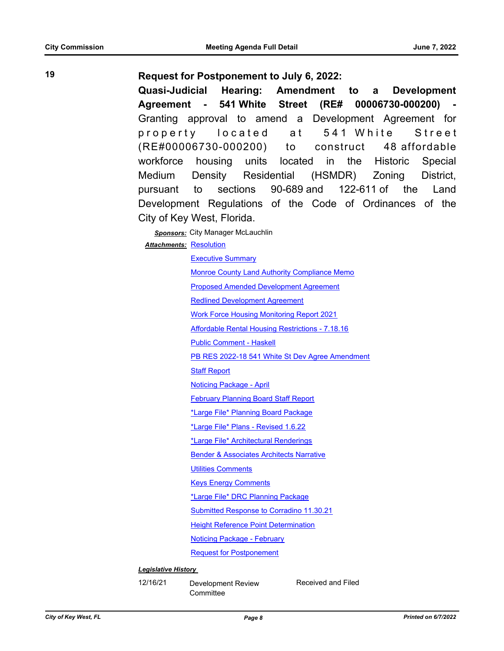## **19 Request for Postponement to July 6, 2022:**

**Quasi-Judicial Hearing: Amendment to a Development Agreement - 541 White Street (RE# 00006730-000200) -**  Granting approval to amend a Development Agreement for property located at 541 White Street (RE#00006730-000200) to construct 48 affordable workforce housing units located in the Historic Special Medium Density Residential (HSMDR) Zoning District, pursuant to sections 90-689 and 122-611 of the Land Development Regulations of the Code of Ordinances of the City of Key West, Florida.

*Sponsors:* City Manager McLauchlin

Attachments: [Resolution](http://KeyWest.legistar.com/gateway.aspx?M=F&ID=59625488-27b4-44be-9f7d-0ceaa5913860.pdf)

[Executive Summary](http://KeyWest.legistar.com/gateway.aspx?M=F&ID=30136eb6-18d9-46de-b2b6-2ba9881903d9.pdf)

[Monroe County Land Authority Compliance Memo](http://KeyWest.legistar.com/gateway.aspx?M=F&ID=88a65be1-1f62-4fc9-b571-cfc1a34764a4.pdf)

[Proposed Amended Development Agreement](http://KeyWest.legistar.com/gateway.aspx?M=F&ID=94d3334c-0c5c-4a0b-bcf5-994d69e248b3.pdf)

[Redlined Development Agreement](http://KeyWest.legistar.com/gateway.aspx?M=F&ID=96627355-bfd9-4078-b362-bbf7931b1f29.pdf)

[Work Force Housing Monitoring Report 2021](http://KeyWest.legistar.com/gateway.aspx?M=F&ID=3b3d4851-8ae7-4745-952d-38bb85005818.pdf)

[Affordable Rental Housing Restrictions - 7.18.16](http://KeyWest.legistar.com/gateway.aspx?M=F&ID=ecf3e714-4176-46db-bf65-e80b17291e57.pdf)

[Public Comment - Haskell](http://KeyWest.legistar.com/gateway.aspx?M=F&ID=f1854e2c-c608-464b-940d-34d05fa6366b.pdf)

[PB RES 2022-18 541 White St Dev Agree Amendment](http://KeyWest.legistar.com/gateway.aspx?M=F&ID=5a867966-25f9-412d-aa97-ba72ac7bd240.pdf)

[Staff Report](http://KeyWest.legistar.com/gateway.aspx?M=F&ID=01567f66-0407-44d3-ae5a-57ad65a29958.pdf)

[Noticing Package - April](http://KeyWest.legistar.com/gateway.aspx?M=F&ID=c8e5930f-fbc6-444f-aad0-b9434adb030e.pdf)

[February Planning Board Staff Report](http://KeyWest.legistar.com/gateway.aspx?M=F&ID=0b15ec1d-a048-4f92-862c-ff6fc1288481.pdf)

[\\*Large File\\* Planning Board Package](http://KeyWest.legistar.com/gateway.aspx?M=F&ID=67cb8a5c-76e3-42a1-98bf-ba69f63d5cf6.pdf)

[\\*Large File\\* Plans - Revised 1.6.22](http://KeyWest.legistar.com/gateway.aspx?M=F&ID=c45cfc06-4bbf-47f8-ba0c-d58bb3f8e61d.pdf)

[\\*Large File\\* Architectural Renderings](http://KeyWest.legistar.com/gateway.aspx?M=F&ID=c98c48a1-0a28-4554-9380-69d2a9e51f2f.pdf)

[Bender & Associates Architects Narrative](http://KeyWest.legistar.com/gateway.aspx?M=F&ID=1dc722a6-6c1c-40dd-a872-ce9a5975d94e.pdf)

[Utilities Comments](http://KeyWest.legistar.com/gateway.aspx?M=F&ID=c3210f92-96dd-437b-aba1-913732cdd05d.pdf)

[Keys Energy Comments](http://KeyWest.legistar.com/gateway.aspx?M=F&ID=0967542d-5248-4189-84be-203088da19e3.pdf)

[\\*Large File\\* DRC Planning Package](http://KeyWest.legistar.com/gateway.aspx?M=F&ID=f0d8f989-1f96-42a1-87a7-59c4ef6514bb.pdf)

[Submitted Response to Corradino 11.30.21](http://KeyWest.legistar.com/gateway.aspx?M=F&ID=c14a91b8-c894-43a6-b244-c2b08239a088.pdf)

**[Height Reference Point Determination](http://KeyWest.legistar.com/gateway.aspx?M=F&ID=08c68ddf-5f01-439a-a8ea-05bbee5c1dc9.pdf)** 

[Noticing Package - February](http://KeyWest.legistar.com/gateway.aspx?M=F&ID=e1c95328-84a7-49d0-900f-132ae10e2a34.pdf)

[Request for Postponement](http://KeyWest.legistar.com/gateway.aspx?M=F&ID=024306fe-c4b5-43f7-8464-8388895846c6.pdf)

#### *Legislative History*

12/16/21 Development Review **Committee** Received and Filed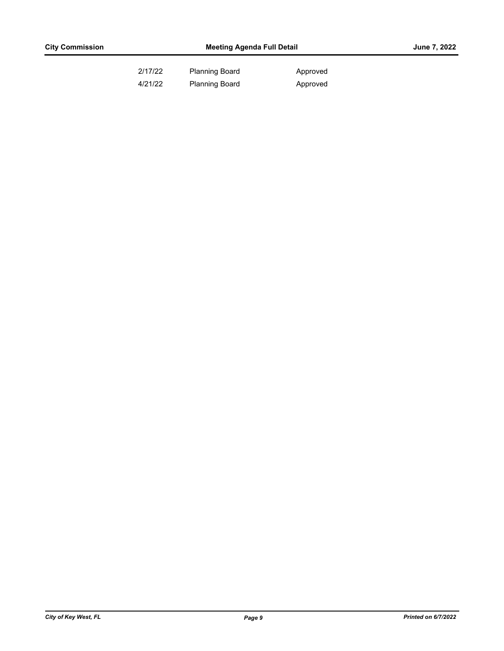| 2/17/22 | <b>Planning Board</b> | Approved |
|---------|-----------------------|----------|
| 4/21/22 | <b>Planning Board</b> | Approved |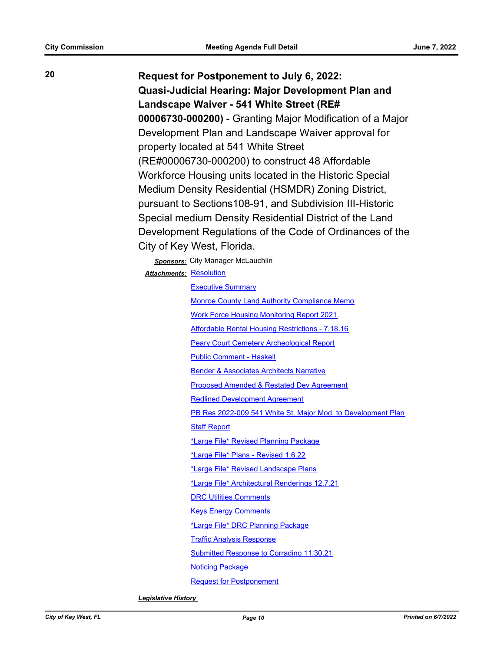**20 Request for Postponement to July 6, 2022: Quasi-Judicial Hearing: Major Development Plan and Landscape Waiver - 541 White Street (RE# 00006730-000200)** - Granting Major Modification of a Major Development Plan and Landscape Waiver approval for property located at 541 White Street (RE#00006730-000200) to construct 48 Affordable Workforce Housing units located in the Historic Special Medium Density Residential (HSMDR) Zoning District, pursuant to Sections108-91, and Subdivision III-Historic Special medium Density Residential District of the Land Development Regulations of the Code of Ordinances of the City of Key West, Florida.

> **Sponsors:** City Manager McLauchlin Attachments: [Resolution](http://KeyWest.legistar.com/gateway.aspx?M=F&ID=884e43c2-c6a3-448b-97c8-79f0072dec40.pdf)

> > [Executive Summary](http://KeyWest.legistar.com/gateway.aspx?M=F&ID=3b6f595d-c2c4-4687-a424-d237c13eb90b.pdf) [Monroe County Land Authority Compliance Memo](http://KeyWest.legistar.com/gateway.aspx?M=F&ID=6ebab64c-1f2d-4ece-a310-a6d05202c1a9.pdf) [Work Force Housing Monitoring Report 2021](http://KeyWest.legistar.com/gateway.aspx?M=F&ID=58cf55ac-8120-4e18-a335-1e963e6f0f0b.pdf) [Affordable Rental Housing Restrictions - 7.18.16](http://KeyWest.legistar.com/gateway.aspx?M=F&ID=0ebcb193-67dd-4776-9c49-10b351a5a12c.pdf) [Peary Court Cemetery Archeological Report](http://KeyWest.legistar.com/gateway.aspx?M=F&ID=3b1a6a0e-c6fb-42fa-8c7e-8aa2cc36898c.pdf) [Public Comment - Haskell](http://KeyWest.legistar.com/gateway.aspx?M=F&ID=92096419-388e-4c39-8505-12801356cdeb.pdf) [Bender & Associates Architects Narrative](http://KeyWest.legistar.com/gateway.aspx?M=F&ID=7683d713-9d4a-4629-af0d-51be4d93b2dd.pdf) [Proposed Amended & Restated Dev Agreement](http://KeyWest.legistar.com/gateway.aspx?M=F&ID=42db3304-dfa9-4c91-80ed-015ac289834e.pdf) [Redlined Development Agreement](http://KeyWest.legistar.com/gateway.aspx?M=F&ID=82cd060f-6668-4dba-af72-3b5e4ec07eb6.pdf) [PB Res 2022-009 541 White St. Major Mod. to Development Plan](http://KeyWest.legistar.com/gateway.aspx?M=F&ID=2c42b884-4def-42dc-864d-1f4aab0a4e14.pdf) [Staff Report](http://KeyWest.legistar.com/gateway.aspx?M=F&ID=24748f14-9470-4b6f-8d4d-293a3a31fec2.pdf) [\\*Large File\\* Revised Planning Package](http://KeyWest.legistar.com/gateway.aspx?M=F&ID=d798ebac-a736-4e14-8d0c-71ffa1899c75.pdf) [\\*Large File\\* Plans - Revised 1.6.22](http://KeyWest.legistar.com/gateway.aspx?M=F&ID=37a8cfac-4f32-498f-abd8-e33d19e8fbd9.pdf) [\\*Large File\\* Revised Landscape Plans](http://KeyWest.legistar.com/gateway.aspx?M=F&ID=1a44f565-4573-449a-b933-a29037f8719b.pdf) [\\*Large File\\* Architectural Renderings 12.7.21](http://KeyWest.legistar.com/gateway.aspx?M=F&ID=fb55a02c-1ee4-43ed-8ac8-1115bad0a5ed.pdf) [DRC Utilities Comments](http://KeyWest.legistar.com/gateway.aspx?M=F&ID=5761be6f-0cc9-47c9-9805-b24d11810739.pdf) [Keys Energy Comments](http://KeyWest.legistar.com/gateway.aspx?M=F&ID=b86f7fca-9025-4861-8e83-6702026aafa6.pdf) [\\*Large File\\* DRC Planning Package](http://KeyWest.legistar.com/gateway.aspx?M=F&ID=747c15a6-8959-44a3-a991-2314ad148bda.pdf) [Traffic Analysis Response](http://KeyWest.legistar.com/gateway.aspx?M=F&ID=1d1563c0-7edf-4582-a728-211cb700ac89.pdf) [Submitted Response to Corradino 11.30.21](http://KeyWest.legistar.com/gateway.aspx?M=F&ID=ab7b6266-d223-4abc-9878-870c9591ca2b.pdf) [Noticing Package](http://KeyWest.legistar.com/gateway.aspx?M=F&ID=a1086822-578d-460e-809c-1cd7b3bf9bcb.pdf) [Request for Postponement](http://KeyWest.legistar.com/gateway.aspx?M=F&ID=9a301be6-5d16-4f05-83e1-bd5d9b525d62.pdf)

*Legislative History*